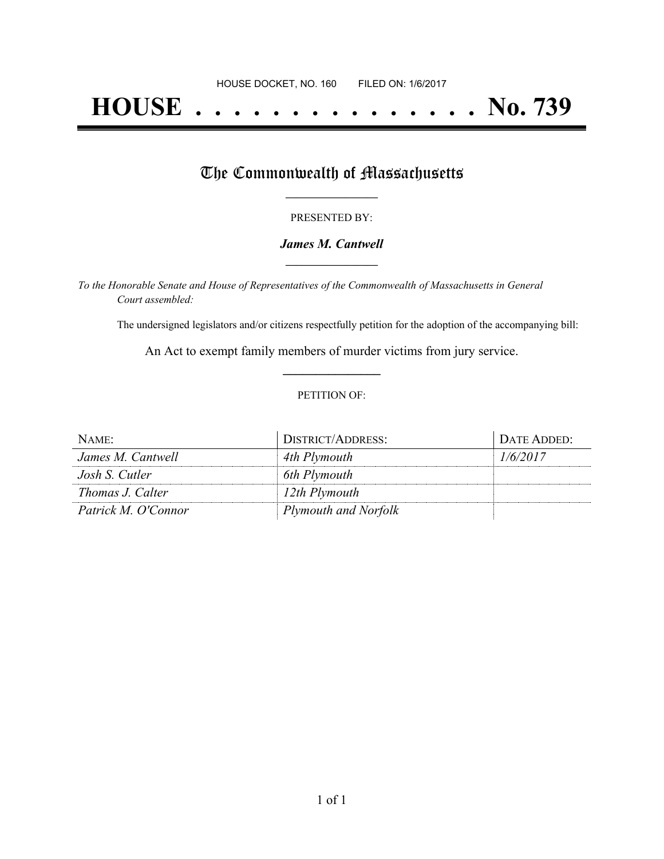# **HOUSE . . . . . . . . . . . . . . . No. 739**

## The Commonwealth of Massachusetts

#### PRESENTED BY:

#### *James M. Cantwell* **\_\_\_\_\_\_\_\_\_\_\_\_\_\_\_\_\_**

*To the Honorable Senate and House of Representatives of the Commonwealth of Massachusetts in General Court assembled:*

The undersigned legislators and/or citizens respectfully petition for the adoption of the accompanying bill:

An Act to exempt family members of murder victims from jury service. **\_\_\_\_\_\_\_\_\_\_\_\_\_\_\_**

#### PETITION OF:

| NAME:               | DISTRICT/ADDRESS:    | DATE ADDED: |
|---------------------|----------------------|-------------|
| James M. Cantwell   | 4th Plymouth         | 1/6/2017    |
| Josh S. Cutler      | 6th Plymouth         |             |
| Thomas J. Calter    | 12th Plymouth        |             |
| Patrick M. O'Connor | Plymouth and Norfolk |             |